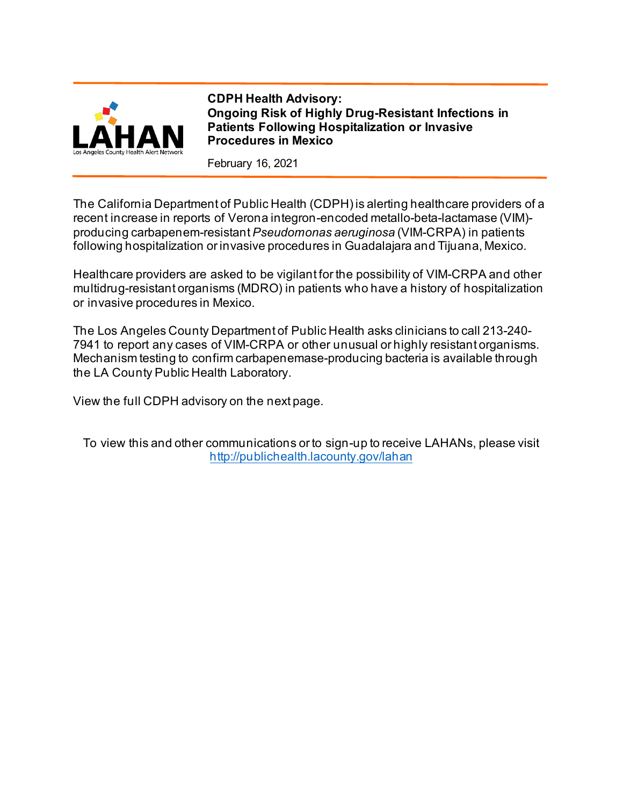

**CDPH Health Advisory: Ongoing Risk of Highly Drug-Resistant Infections in Patients Following Hospitalization or Invasive Procedures in Mexico**

February 16, 2021

The California Department of Public Health (CDPH) is alerting healthcare providers of a recent increase in reports of Verona integron-encoded metallo-beta-lactamase (VIM) producing carbapenem-resistant *Pseudomonas aeruginosa* (VIM-CRPA) in patients following hospitalization or invasive procedures in Guadalajara and Tijuana, Mexico.

Healthcare providers are asked to be vigilant for the possibility of VIM-CRPA and other multidrug-resistant organisms (MDRO) in patients who have a history of hospitalization or invasive procedures in Mexico.

The Los Angeles County Department of Public Health asks clinicians to call 213-240- 7941 to report any cases of VIM-CRPA or other unusual or highly resistant organisms. Mechanism testing to confirm carbapenemase-producing bacteria is available through the LA County Public Health Laboratory.

View the full CDPH advisory on the next page.

To view this and other communications or to sign-up to receive LAHANs, please visit <http://publichealth.lacounty.gov/lahan>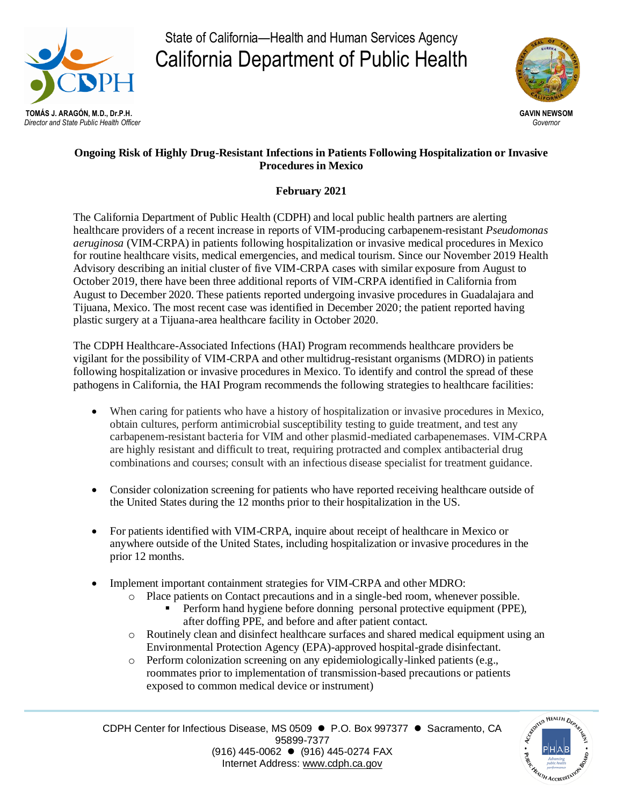

State of California—Health and Human Services Agency California Department of Public Health



## **Ongoing Risk of Highly Drug-Resistant Infections in Patients Following Hospitalization or Invasive Procedures in Mexico**

## **February 2021**

The California Department of Public Health (CDPH) and local public health partners are alerting healthcare providers of a recent increase in reports of VIM-producing carbapenem-resistant *Pseudomonas aeruginosa* (VIM-CRPA) in patients following hospitalization or invasive medical procedures in Mexico for routine healthcare visits, medical emergencies, and medical tourism. Since our November 2019 Health Advisory describing an initial cluster of five VIM-CRPA cases with similar exposure from August to October 2019, there have been three additional reports of VIM-CRPA identified in California from August to December 2020. These patients reported undergoing invasive procedures in Guadalajara and Tijuana, Mexico. The most recent case was identified in December 2020; the patient reported having plastic surgery at a Tijuana-area healthcare facility in October 2020.

The CDPH Healthcare-Associated Infections (HAI) Program recommends healthcare providers be vigilant for the possibility of VIM-CRPA and other multidrug-resistant organisms (MDRO) in patients following hospitalization or invasive procedures in Mexico. To identify and control the spread of these pathogens in California, the HAI Program recommends the following strategies to healthcare facilities:

- When caring for patients who have a history of hospitalization or invasive procedures in Mexico, obtain cultures, perform antimicrobial susceptibility testing to guide treatment, and test any carbapenem-resistant bacteria for VIM and other plasmid-mediated carbapenemases. VIM-CRPA are highly resistant and difficult to treat, requiring protracted and complex antibacterial drug combinations and courses; consult with an infectious disease specialist for treatment guidance.
- Consider colonization screening for patients who have reported receiving healthcare outside of the United States during the 12 months prior to their hospitalization in the US.
- For patients identified with VIM-CRPA, inquire about receipt of healthcare in Mexico or anywhere outside of the United States, including hospitalization or invasive procedures in the prior 12 months.
- Implement important containment strategies for VIM-CRPA and other MDRO:
	- o Place patients on Contact precautions and in a single-bed room, whenever possible.
		- Perform hand hygiene before donning personal protective equipment (PPE), after doffing PPE, and before and after patient contact.
	- o Routinely clean and disinfect healthcare surfaces and shared medical equipment using an Environmental Protection Agency (EPA)-approved hospital-grade disinfectant.
	- o Perform colonization screening on any epidemiologically-linked patients (e.g., roommates prior to implementation of transmission-based precautions or patients exposed to common medical device or instrument)